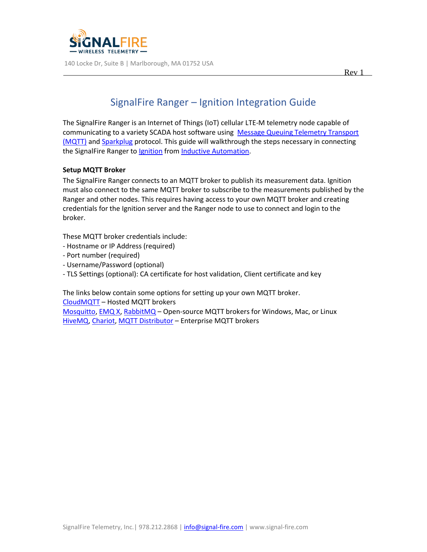

# SignalFire Ranger – Ignition Integration Guide

The SignalFire Ranger is an Internet of Things (IoT) cellular LTE-M telemetry node capable of communicating to a variety SCADA host software using Message Queuing Telemetry Transport [\(MQTT\)](https://mqtt.org/) and [Sparkplug](https://sparkplug.eclipse.org/) protocol. This guide will walkthrough the steps necessary in connecting the SignalFire Ranger to [Ignition](https://inductiveautomation.com/ignition) from [Inductive Automation.](https://inductiveautomation.com/)

# **Setup MQTT Broker**

The SignalFire Ranger connects to an MQTT broker to publish its measurement data. Ignition must also connect to the same MQTT broker to subscribe to the measurements published by the Ranger and other nodes. This requires having access to your own MQTT broker and creating credentials for the Ignition server and the Ranger node to use to connect and login to the broker.

These MQTT broker credentials include:

- Hostname or IP Address (required)
- Port number (required)
- Username/Password (optional)
- TLS Settings (optional): CA certificate for host validation, Client certificate and key

The links below contain some options for setting up your own MQTT broker. [CloudMQTT](https://www.cloudmqtt.com/) – Hosted MQTT brokers

[Mosquitto,](https://mosquitto.org/) [EMQ X,](https://www.emqx.io/) [RabbitMQ](https://www.rabbitmq.com/) – Open-source MQTT brokers for Windows, Mac, or Linux [HiveMQ,](https://www.hivemq.com/) [Chariot, MQTT Distributor](https://www.cirrus-link.com/mqtt-broker-iiot-mqtt-servers/) – Enterprise MQTT brokers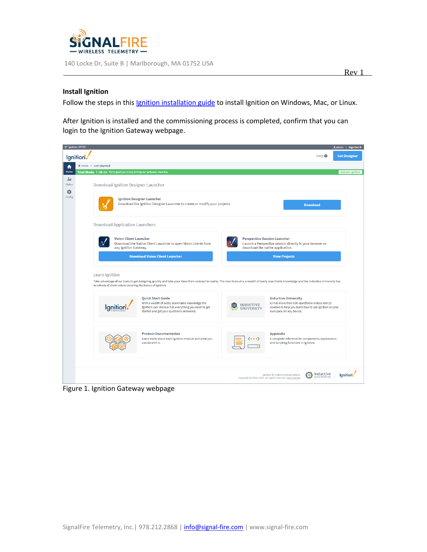

## **Install Ignition**

Follow the steps in this *[Ignition installation guide](https://docs.inductiveautomation.com/display/DOC80/Installing+and+Upgrading+Ignition)* to install Ignition on Windows, Mac, or Linux.

After Ignition is installed and the commissioning process is completed, confirm that you can login to the Ignition Gateway webpage.



Figure 1. Ignition Gateway webpage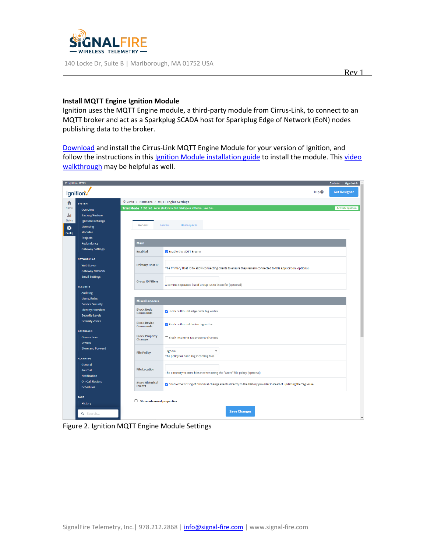

#### **Install MQTT Engine Ignition Module**

Ignition uses the MQTT Engine module, a third-party module from Cirrus-Link, to connect to an MQTT broker and act as a Sparkplug SCADA host for Sparkplug Edge of Network (EoN) nodes publishing data to the broker.

[Download](https://inductiveautomation.com/downloads/third-party-modules) and install the Cirrus-Link MQTT Engine Module for your version of Ignition, and follow the instructions in this [Ignition Module installation guide](https://docs.inductiveautomation.com/display/DOC80/Installing+or+Upgrading+a+Module) to install the module. This video [walkthrough](https://inductiveautomation.com/resources/video/mqtt-engine-module) may be helpful as well.

| 那 Ignition-SFT23                                     |                                            |                                                                                                                     | ≗admin   Sign Out→       |
|------------------------------------------------------|--------------------------------------------|---------------------------------------------------------------------------------------------------------------------|--------------------------|
| Ignition <sup>1</sup>                                |                                            | Help <sup><sup>O</sup></sup>                                                                                        | <b>Get Designer</b>      |
| <b>SYSTEM</b>                                        | Config > Mqttengine > MQTT Engine Settings |                                                                                                                     |                          |
| Overview                                             |                                            | Trial Mode 1:55:40 We're glad you're test driving our software. Have fun.                                           | <b>Activate Ignition</b> |
| <b>Backup/Restore</b>                                |                                            |                                                                                                                     |                          |
| <b>Ignition Exchange</b>                             |                                            |                                                                                                                     |                          |
| Licensing                                            | General                                    | Servers<br>Namespaces                                                                                               |                          |
| <b>Modules</b>                                       |                                            |                                                                                                                     |                          |
| <b>Projects</b>                                      |                                            |                                                                                                                     |                          |
| Redundancy                                           | <b>Main</b>                                |                                                                                                                     |                          |
| <b>Gateway Settings</b>                              | <b>Enabled</b>                             | Z Enable the MQTT Engine                                                                                            |                          |
| <b>NETWORKING</b>                                    |                                            |                                                                                                                     |                          |
| <b>Web Server</b>                                    | <b>Primary Host ID</b>                     | The Primary Host ID to allow connecting clients to ensure they remain connected to this application (optional)      |                          |
| <b>Gateway Network</b>                               |                                            |                                                                                                                     |                          |
| <b>Email Settings</b>                                |                                            |                                                                                                                     |                          |
|                                                      | <b>Group ID Filters</b>                    | A comma separated list of Group IDs to listen for (optional)                                                        |                          |
| <b>SECURITY</b>                                      |                                            |                                                                                                                     |                          |
| <b>Auditing</b>                                      |                                            |                                                                                                                     |                          |
| <b>Users, Roles</b>                                  | <b>Miscellaneous</b>                       |                                                                                                                     |                          |
| <b>Service Security</b><br><b>Identity Providers</b> | <b>Block Node</b>                          |                                                                                                                     |                          |
| <b>Security Levels</b>                               | <b>Commands</b>                            | V Block outbound edge node tag writes                                                                               |                          |
| <b>Security Zones</b>                                | <b>Block Device</b><br><b>Commands</b>     | Block outbound device tag writes                                                                                    |                          |
| <b>DATABASES</b>                                     |                                            |                                                                                                                     |                          |
| <b>Connections</b>                                   | <b>Block Property</b><br><b>Changes</b>    | Block incoming Tag property changes                                                                                 |                          |
| <b>Drivers</b>                                       |                                            |                                                                                                                     |                          |
| <b>Store and Forward</b>                             | <b>File Policy</b>                         | $\overline{\mathbf{v}}$<br>Ignore                                                                                   |                          |
| <b>ALARMING</b>                                      |                                            | The policy for handling incoming files                                                                              |                          |
| General                                              |                                            |                                                                                                                     |                          |
| Journal                                              | <b>File Location</b>                       |                                                                                                                     |                          |
| <b>Notification</b>                                  |                                            | The directory to store files in when using the "Store" file policy (optional)                                       |                          |
| <b>On-Call Rosters</b>                               | <b>Store Historical</b>                    |                                                                                                                     |                          |
| <b>Schedules</b>                                     | <b>Events</b>                              | Z Enable the writing of historical change events directly to the History provider instead of updating the Tag value |                          |
| <b>TAGS</b>                                          |                                            |                                                                                                                     |                          |
| <b>History</b>                                       | $\Box$ Show advanced properties            |                                                                                                                     |                          |
|                                                      |                                            |                                                                                                                     |                          |
| Q Search                                             |                                            | <b>Save Changes</b>                                                                                                 |                          |

Figure 2. Ignition MQTT Engine Module Settings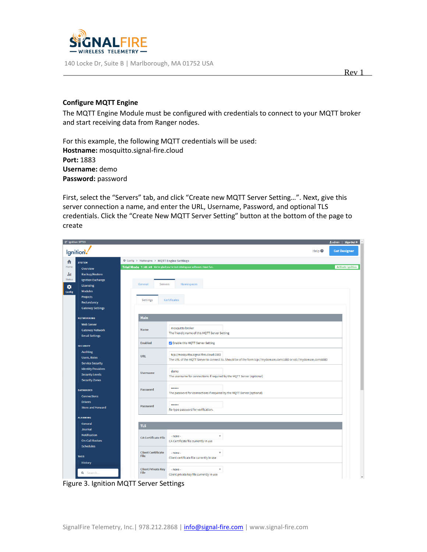

### **Configure MQTT Engine**

The MQTT Engine Module must be configured with credentials to connect to your MQTT broker and start receiving data from Ranger nodes.

For this example, the following MQTT credentials will be used: **Hostname:** mosquitto.signal-fire.cloud **Port:** 1883 **Username:** demo **Password:** password

First, select the "Servers" tab, and click "Create new MQTT Server Setting…". Next, give this server connection a name, and enter the URL, Username, Password, and optional TLS credentials. Click the "Create New MQTT Server Setting" button at the bottom of the page to create

| 黎 Ignition-SFT23 |                           |                                            |                                                                                                                    | ≗admin   Sign Out→       |  |  |  |
|------------------|---------------------------|--------------------------------------------|--------------------------------------------------------------------------------------------------------------------|--------------------------|--|--|--|
|                  | Ignition                  |                                            | Help <sup><sup>O</sup></sup>                                                                                       | <b>Get Designer</b>      |  |  |  |
| A                | <b>SYSTEM</b>             | Config > Mqttengine > MQTT Engine Settings |                                                                                                                    |                          |  |  |  |
| Home             | Overview                  |                                            | Trial Mode 1:46:49 We're glad you're test driving our software. Have fun.                                          | <b>Activate Ignition</b> |  |  |  |
| alut             | <b>Backup/Restore</b>     |                                            |                                                                                                                    |                          |  |  |  |
| <b>Status</b>    | <b>Ignition Exchange</b>  |                                            |                                                                                                                    |                          |  |  |  |
|                  | Licensing                 | General<br>Servers                         | Namespaces                                                                                                         |                          |  |  |  |
| o<br>Config      | <b>Modules</b>            |                                            |                                                                                                                    |                          |  |  |  |
|                  | Projects                  |                                            |                                                                                                                    |                          |  |  |  |
|                  | Redundancy                | Settings                                   | Certificates                                                                                                       |                          |  |  |  |
|                  | <b>Gateway Settings</b>   |                                            |                                                                                                                    |                          |  |  |  |
|                  | <b>NETWORKING</b>         | <b>Main</b>                                |                                                                                                                    |                          |  |  |  |
|                  | <b>Web Server</b>         |                                            |                                                                                                                    |                          |  |  |  |
|                  | <b>Gateway Network</b>    | <b>Name</b>                                | mosquitto broker<br>The friendly name of this MQTT Server Setting                                                  |                          |  |  |  |
|                  | <b>Email Settings</b>     |                                            |                                                                                                                    |                          |  |  |  |
|                  | <b>SECURITY</b>           | <b>Enabled</b>                             | Z Enable this MQTT Server Setting                                                                                  |                          |  |  |  |
|                  | <b>Auditing</b>           |                                            | tcp://mosquitto.signal-fire.cloud:1883                                                                             |                          |  |  |  |
|                  | Users, Roles              | <b>URL</b>                                 | The URL of the MQTT Server to connect to. Should be of the form tcp://mydomain.com:1883 or ssl://mydomain.com:8883 |                          |  |  |  |
|                  | <b>Service Security</b>   |                                            |                                                                                                                    |                          |  |  |  |
|                  | <b>Identity Providers</b> | <b>Username</b>                            | demo                                                                                                               |                          |  |  |  |
|                  | <b>Security Levels</b>    |                                            | The username for connections if required by the MQTT Server (optional)                                             |                          |  |  |  |
|                  | <b>Security Zones</b>     |                                            |                                                                                                                    |                          |  |  |  |
|                  | <b>DATABASES</b>          | Password                                   |                                                                                                                    |                          |  |  |  |
|                  | <b>Connections</b>        |                                            | The password for connections if required by the MQTT Server (optional)                                             |                          |  |  |  |
|                  | <b>Drivers</b>            |                                            |                                                                                                                    |                          |  |  |  |
|                  | <b>Store and Forward</b>  | Password                                   | <br>Re-type password for verification.                                                                             |                          |  |  |  |
|                  |                           |                                            |                                                                                                                    |                          |  |  |  |
|                  | <b>ALARMING</b>           |                                            |                                                                                                                    |                          |  |  |  |
|                  | General                   | <b>TLS</b>                                 |                                                                                                                    |                          |  |  |  |
|                  | Journal                   |                                            |                                                                                                                    |                          |  |  |  |
|                  | Notification              | <b>CA Certificate File</b>                 | $\boldsymbol{\mathrm{v}}$<br>$-$ none $-$                                                                          |                          |  |  |  |
|                  | <b>On-Call Rosters</b>    |                                            | CA Certificate file currently in use                                                                               |                          |  |  |  |
|                  | <b>Schedules</b>          |                                            |                                                                                                                    |                          |  |  |  |
|                  | <b>TAGS</b>               | <b>Client Certificate</b><br>File          | $\overline{\mathbf{v}}$<br>$-$ none $-$<br>Client certificate file currently in use                                |                          |  |  |  |
|                  | History                   |                                            |                                                                                                                    |                          |  |  |  |
|                  |                           | <b>Client Private Key</b>                  | $\overline{\mathbf{v}}$<br>$-$ none $-$                                                                            |                          |  |  |  |
|                  | Q Search                  | File                                       | Client private key file currently in use                                                                           |                          |  |  |  |
|                  |                           |                                            |                                                                                                                    | $\;$                     |  |  |  |

Figure 3. Ignition MQTT Server Settings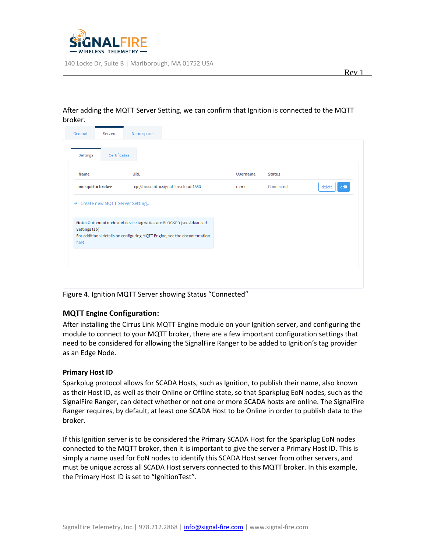

#### General Namespaces Servers Certificates Settings **Name** URL **Username Status** mosquitto broker tcp://mosquitto.signal-fire.cloud:1883 Connected delete **Adit** demo → Create new MQTT Server Setting... Note: Outbound node and device tag writes are BLOCKED (see Advanced Settings tab) For additional details on configuring MQTT Engine, see the documentation here

# After adding the MQTT Server Setting, we can confirm that Ignition is connected to the MQTT broker.

Figure 4. Ignition MQTT Server showing Status "Connected"

# **MQTT Engine Configuration:**

After installing the Cirrus Link MQTT Engine module on your Ignition server, and configuring the module to connect to your MQTT broker, there are a few important configuration settings that need to be considered for allowing the SignalFire Ranger to be added to Ignition's tag provider as an Edge Node.

# **Primary Host ID**

Sparkplug protocol allows for SCADA Hosts, such as Ignition, to publish their name, also known as their Host ID, as well as their Online or Offline state, so that Sparkplug EoN nodes, such as the SignalFire Ranger, can detect whether or not one or more SCADA hosts are online. The SignalFire Ranger requires, by default, at least one SCADA Host to be Online in order to publish data to the broker.

If this Ignition server is to be considered the Primary SCADA Host for the Sparkplug EoN nodes connected to the MQTT broker, then it is important to give the server a Primary Host ID. This is simply a name used for EoN nodes to identify this SCADA Host server from other servers, and must be unique across all SCADA Host servers connected to this MQTT broker. In this example, the Primary Host ID is set to "IgnitionTest".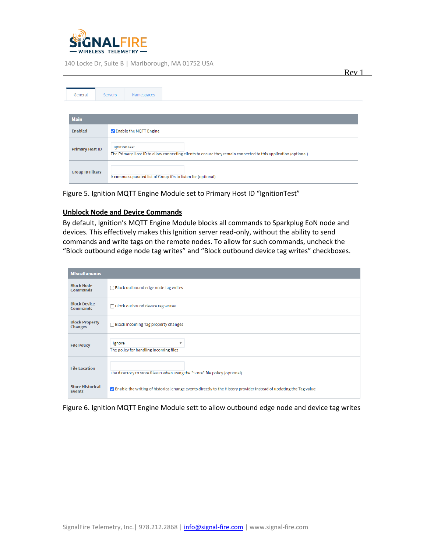

| General                 | <b>Servers</b>      | Namespaces                                                                                                     |  |  |  |  |
|-------------------------|---------------------|----------------------------------------------------------------------------------------------------------------|--|--|--|--|
|                         |                     |                                                                                                                |  |  |  |  |
| <b>Main</b>             |                     |                                                                                                                |  |  |  |  |
| <b>Enabled</b>          |                     | Z Enable the MQTT Engine                                                                                       |  |  |  |  |
| <b>Primary Host ID</b>  | <b>IgnitionTest</b> | The Primary Host ID to allow connecting clients to ensure they remain connected to this application (optional) |  |  |  |  |
| <b>Group ID Filters</b> |                     | A comma separated list of Group IDs to listen for (optional)                                                   |  |  |  |  |

Figure 5. Ignition MQTT Engine Module set to Primary Host ID "IgnitionTest"

### **Unblock Node and Device Commands**

By default, Ignition's MQTT Engine Module blocks all commands to Sparkplug EoN node and devices. This effectively makes this Ignition server read-only, without the ability to send commands and write tags on the remote nodes. To allow for such commands, uncheck the "Block outbound edge node tag writes" and "Block outbound device tag writes" checkboxes.

| <b>Miscellaneous</b>                     |                                                                                                                     |
|------------------------------------------|---------------------------------------------------------------------------------------------------------------------|
| <b>Block Node</b><br><b>Commands</b>     | □ Block outbound edge node tag writes                                                                               |
| <b>Block Device</b><br><b>Commands</b>   | $\Box$ Block outbound device tag writes                                                                             |
| <b>Block Property</b><br><b>Changes</b>  | □ Block incoming Tag property changes                                                                               |
| <b>File Policy</b>                       | Ignore<br>$\overline{\mathbf{v}}$<br>The policy for handling incoming files                                         |
| <b>File Location</b>                     | The directory to store files in when using the "Store" file policy (optional)                                       |
| <b>Store Historical</b><br><b>Events</b> | √ Enable the writing of historical change events directly to the History provider instead of updating the Tag value |

Figure 6. Ignition MQTT Engine Module sett to allow outbound edge node and device tag writes

Rev 1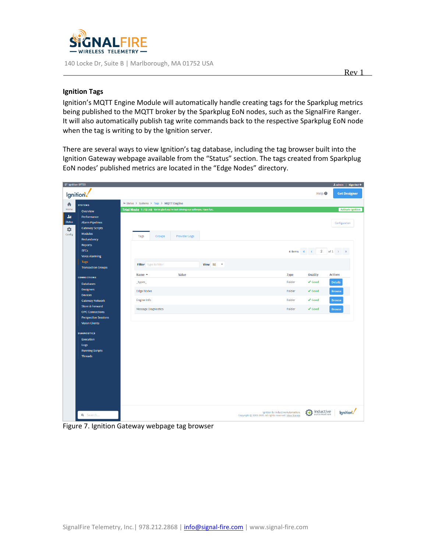

# **Ignition Tags**

Ignition's MQTT Engine Module will automatically handle creating tags for the Sparkplug metrics being published to the MQTT broker by the Sparkplug EoN nodes, such as the SignalFire Ranger. It will also automatically publish tag write commands back to the respective Sparkplug EoN node when the tag is writing to by the Ignition server.

There are several ways to view Ignition's tag database, including the tag browser built into the Ignition Gateway webpage available from the "Status" section. The tags created from Sparkplug EoN nodes' published metrics are located in the "Edge Nodes" directory.

| 整 Ignition-SFT23 |                              |                                                                           |                      |               |                                                                                               |             |                              | $\triangle$ admin   Sign Out $\rightarrow$ |
|------------------|------------------------------|---------------------------------------------------------------------------|----------------------|---------------|-----------------------------------------------------------------------------------------------|-------------|------------------------------|--------------------------------------------|
|                  | lgnition.                    |                                                                           |                      |               |                                                                                               |             | Help <sup><sup>O</sup></sup> | <b>Get Designer</b>                        |
|                  |                              |                                                                           |                      |               |                                                                                               |             |                              |                                            |
| ₳                | <b>SYSTEMS</b>               | Je Status > Systems > Tags > MQTT Engine                                  |                      |               |                                                                                               |             |                              |                                            |
| Home             | Overview                     | Trial Mode 1:13:48 We're glad you're test driving our software. Have fun. |                      |               |                                                                                               |             |                              | <b>Activate Ignition</b>                   |
| da.              | Performance                  |                                                                           |                      |               |                                                                                               |             |                              |                                            |
| <b>Status</b>    | <b>Alarm Pipelines</b>       |                                                                           |                      |               |                                                                                               |             |                              | Configuration                              |
| $\bullet$        | <b>Gateway Scripts</b>       |                                                                           |                      |               |                                                                                               |             |                              |                                            |
| Config           | <b>Modules</b><br>Redundancy | <b>Tags</b><br>Groups                                                     | <b>Provider Logs</b> |               |                                                                                               |             |                              |                                            |
|                  | <b>Reports</b>               |                                                                           |                      |               |                                                                                               |             |                              |                                            |
|                  | <b>SFCs</b>                  |                                                                           |                      |               |                                                                                               | 4 items « « |                              | 2 of 1 $\rightarrow$ »                     |
|                  | <b>Voice Alarming</b>        |                                                                           |                      |               |                                                                                               |             |                              |                                            |
|                  | <b>Tags</b>                  |                                                                           |                      | View $50 - 7$ |                                                                                               |             |                              |                                            |
|                  | <b>Transaction Groups</b>    | Filter type to filter                                                     |                      |               |                                                                                               |             |                              |                                            |
|                  | <b>CONNECTIONS</b>           | Name $\triangle$                                                          | Value                |               |                                                                                               | <b>Type</b> | Quality                      | <b>Actions</b>                             |
|                  | <b>Databases</b>             | _types_                                                                   |                      |               |                                                                                               | Folder      | $\checkmark$ Good            | Details                                    |
|                  | <b>Designers</b>             |                                                                           |                      |               |                                                                                               |             |                              |                                            |
|                  | <b>Devices</b>               | <b>Edge Nodes</b>                                                         |                      |               |                                                                                               | Folder      | $\sqrt{3}$ Good              | <b>Browse</b>                              |
|                  | <b>Gateway Network</b>       | <b>Engine Info</b>                                                        |                      |               |                                                                                               | Folder      | $\checkmark$ Good            | <b>Browse</b>                              |
|                  | <b>Store &amp; Forward</b>   | <b>Message Diagnostics</b>                                                |                      |               |                                                                                               | Folder      | $\checkmark$ Good            | <b>Browse</b>                              |
|                  | <b>OPC Connections</b>       |                                                                           |                      |               |                                                                                               |             |                              |                                            |
|                  | <b>Perspective Sessions</b>  |                                                                           |                      |               |                                                                                               |             |                              |                                            |
|                  | <b>Vision Clients</b>        |                                                                           |                      |               |                                                                                               |             |                              |                                            |
|                  | <b>DIAGNOSTICS</b>           |                                                                           |                      |               |                                                                                               |             |                              |                                            |
|                  | <b>Execution</b>             |                                                                           |                      |               |                                                                                               |             |                              |                                            |
|                  | Logs                         |                                                                           |                      |               |                                                                                               |             |                              |                                            |
|                  | <b>Running Scripts</b>       |                                                                           |                      |               |                                                                                               |             |                              |                                            |
|                  | <b>Threads</b>               |                                                                           |                      |               |                                                                                               |             |                              |                                            |
|                  |                              |                                                                           |                      |               |                                                                                               |             |                              |                                            |
|                  |                              |                                                                           |                      |               |                                                                                               |             |                              |                                            |
|                  |                              |                                                                           |                      |               |                                                                                               |             |                              |                                            |
|                  |                              |                                                                           |                      |               |                                                                                               |             |                              |                                            |
|                  |                              |                                                                           |                      |               |                                                                                               |             |                              |                                            |
|                  |                              |                                                                           |                      |               |                                                                                               |             |                              |                                            |
|                  |                              |                                                                           |                      |               |                                                                                               |             |                              |                                            |
|                  |                              |                                                                           |                      |               |                                                                                               |             |                              |                                            |
|                  | Q Search                     |                                                                           |                      |               | Ignition by Inductive Automation.<br>Copyright @ 2003-2020. All rights reserved. View license |             | $\bigoplus$ inductive        | Ignition.                                  |
|                  |                              |                                                                           |                      |               |                                                                                               |             |                              |                                            |

Figure 7. Ignition Gateway webpage tag browser